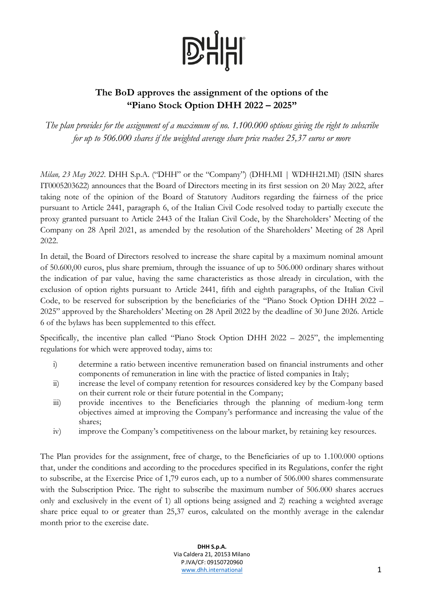## **D'HHI**

## **The BoD approves the assignment of the options of the "Piano Stock Option DHH 2022 – 2025"**

*The plan provides for the assignment of a maximum of no. 1.100.000 options giving the right to subscribe for up to 506.000 shares if the weighted average share price reaches 25,37 euros or more*

*Milan, 23 May 2022*. DHH S.p.A. ("DHH" or the "Company") (DHH.MI | WDHH21.MI) (ISIN shares IT0005203622) announces that the Board of Directors meeting in its first session on 20 May 2022, after taking note of the opinion of the Board of Statutory Auditors regarding the fairness of the price pursuant to Article 2441, paragraph 6, of the Italian Civil Code resolved today to partially execute the proxy granted pursuant to Article 2443 of the Italian Civil Code, by the Shareholders' Meeting of the Company on 28 April 2021, as amended by the resolution of the Shareholders' Meeting of 28 April 2022.

In detail, the Board of Directors resolved to increase the share capital by a maximum nominal amount of 50.600,00 euros, plus share premium, through the issuance of up to 506.000 ordinary shares without the indication of par value, having the same characteristics as those already in circulation, with the exclusion of option rights pursuant to Article 2441, fifth and eighth paragraphs, of the Italian Civil Code, to be reserved for subscription by the beneficiaries of the "Piano Stock Option DHH 2022 – 2025" approved by the Shareholders' Meeting on 28 April 2022 by the deadline of 30 June 2026. Article 6 of the bylaws has been supplemented to this effect.

Specifically, the incentive plan called "Piano Stock Option DHH 2022 – 2025", the implementing regulations for which were approved today, aims to:

- i) determine a ratio between incentive remuneration based on financial instruments and other components of remuneration in line with the practice of listed companies in Italy;
- ii) increase the level of company retention for resources considered key by the Company based on their current role or their future potential in the Company;
- iii) provide incentives to the Beneficiaries through the planning of medium-long term objectives aimed at improving the Company's performance and increasing the value of the shares;
- iv) improve the Company's competitiveness on the labour market, by retaining key resources.

The Plan provides for the assignment, free of charge, to the Beneficiaries of up to 1.100.000 options that, under the conditions and according to the procedures specified in its Regulations, confer the right to subscribe, at the Exercise Price of 1,79 euros each, up to a number of 506.000 shares commensurate with the Subscription Price. The right to subscribe the maximum number of 506.000 shares accrues only and exclusively in the event of 1) all options being assigned and 2) reaching a weighted average share price equal to or greater than 25,37 euros, calculated on the monthly average in the calendar month prior to the exercise date.

> **DHH S.p.A.** Via Caldera 21, 20153 Milano P.IVA/CF: 09150720960 [www.dhh.international](http://www.dominion.it/) 1